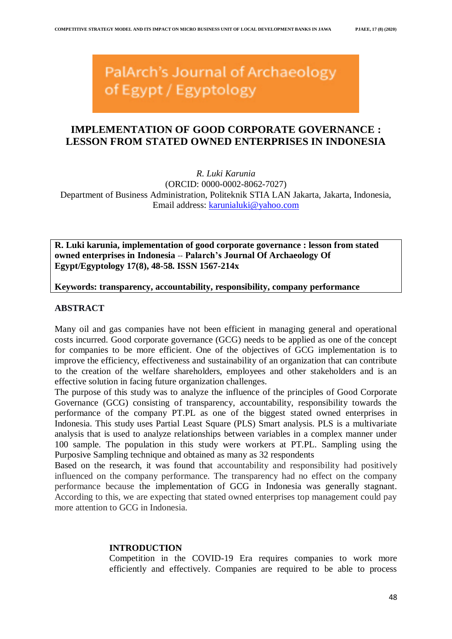# PalArch's Journal of Archaeology of Egypt / Egyptology

# **IMPLEMENTATION OF GOOD CORPORATE GOVERNANCE : LESSON FROM STATED OWNED ENTERPRISES IN INDONESIA**

*R. Luki Karunia* (ORCID: 0000-0002-8062-7027) Department of Business Administration, Politeknik STIA LAN Jakarta, Jakarta, Indonesia, Email address: [karunialuki@yahoo.com](mailto:karunialuki@yahoo.com)

**R. Luki karunia, implementation of good corporate governance : lesson from stated owned enterprises in Indonesia** -- **Palarch's Journal Of Archaeology Of Egypt/Egyptology 17(8), 48-58. ISSN 1567-214x**

**Keywords: transparency, accountability, responsibility, company performance**

### **ABSTRACT**

Many oil and gas companies have not been efficient in managing general and operational costs incurred. Good corporate governance (GCG) needs to be applied as one of the concept for companies to be more efficient. One of the objectives of GCG implementation is to improve the efficiency, effectiveness and sustainability of an organization that can contribute to the creation of the welfare shareholders, employees and other stakeholders and is an effective solution in facing future organization challenges.

The purpose of this study was to analyze the influence of the principles of Good Corporate Governance (GCG) consisting of transparency, accountability, responsibility towards the performance of the company PT.PL as one of the biggest stated owned enterprises in Indonesia. This study uses Partial Least Square (PLS) Smart analysis. PLS is a multivariate analysis that is used to analyze relationships between variables in a complex manner under 100 sample. The population in this study were workers at PT.PL. Sampling using the Purposive Sampling technique and obtained as many as 32 respondents

Based on the research, it was found that accountability and responsibility had positively influenced on the company performance. The transparency had no effect on the company performance because the implementation of GCG in Indonesia was generally stagnant. According to this, we are expecting that stated owned enterprises top management could pay more attention to GCG in Indonesia.

## **INTRODUCTION**

Competition in the COVID-19 Era requires companies to work more efficiently and effectively. Companies are required to be able to process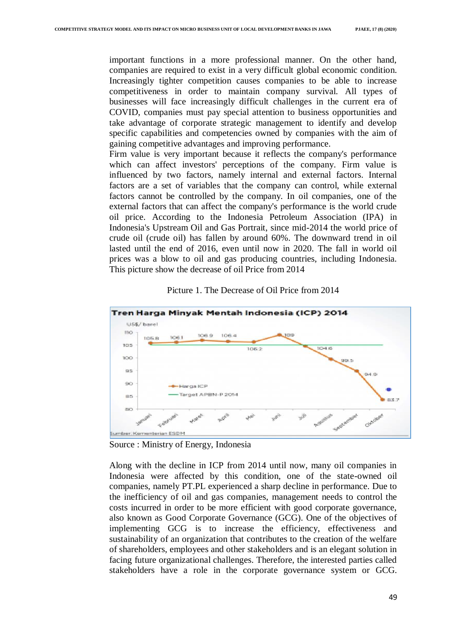important functions in a more professional manner. On the other hand, companies are required to exist in a very difficult global economic condition. Increasingly tighter competition causes companies to be able to increase competitiveness in order to maintain company survival. All types of businesses will face increasingly difficult challenges in the current era of COVID, companies must pay special attention to business opportunities and take advantage of corporate strategic management to identify and develop specific capabilities and competencies owned by companies with the aim of gaining competitive advantages and improving performance.

Firm value is very important because it reflects the company's performance which can affect investors' perceptions of the company. Firm value is influenced by two factors, namely internal and external factors. Internal factors are a set of variables that the company can control, while external factors cannot be controlled by the company. In oil companies, one of the external factors that can affect the company's performance is the world crude oil price. According to the Indonesia Petroleum Association (IPA) in Indonesia's Upstream Oil and Gas Portrait, since mid-2014 the world price of crude oil (crude oil) has fallen by around 60%. The downward trend in oil lasted until the end of 2016, even until now in 2020. The fall in world oil prices was a blow to oil and gas producing countries, including Indonesia. This picture show the decrease of oil Price from 2014



Picture 1. The Decrease of Oil Price from 2014

Source : Ministry of Energy, Indonesia

Along with the decline in ICP from 2014 until now, many oil companies in Indonesia were affected by this condition, one of the state-owned oil companies, namely PT.PL experienced a sharp decline in performance. Due to the inefficiency of oil and gas companies, management needs to control the costs incurred in order to be more efficient with good corporate governance, also known as Good Corporate Governance (GCG). One of the objectives of implementing GCG is to increase the efficiency, effectiveness and sustainability of an organization that contributes to the creation of the welfare of shareholders, employees and other stakeholders and is an elegant solution in facing future organizational challenges. Therefore, the interested parties called stakeholders have a role in the corporate governance system or GCG.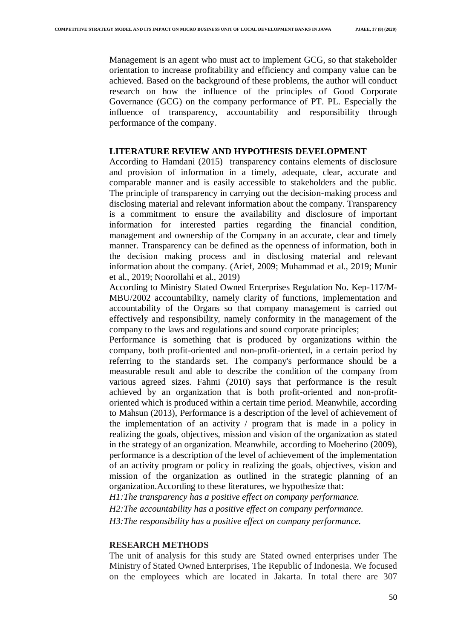Management is an agent who must act to implement GCG, so that stakeholder orientation to increase profitability and efficiency and company value can be achieved. Based on the background of these problems, the author will conduct research on how the influence of the principles of Good Corporate Governance (GCG) on the company performance of PT. PL. Especially the influence of transparency, accountability and responsibility through performance of the company.

#### **LITERATURE REVIEW AND HYPOTHESIS DEVELOPMENT**

According to Hamdani (2015) transparency contains elements of disclosure and provision of information in a timely, adequate, clear, accurate and comparable manner and is easily accessible to stakeholders and the public. The principle of transparency in carrying out the decision-making process and disclosing material and relevant information about the company. Transparency is a commitment to ensure the availability and disclosure of important information for interested parties regarding the financial condition, management and ownership of the Company in an accurate, clear and timely manner. Transparency can be defined as the openness of information, both in the decision making process and in disclosing material and relevant information about the company. (Arief, 2009; Muhammad et al., 2019; Munir et al., 2019; Noorollahi et al., 2019)

According to Ministry Stated Owned Enterprises Regulation No. Kep-117/M-MBU/2002 accountability, namely clarity of functions, implementation and accountability of the Organs so that company management is carried out effectively and responsibility, namely conformity in the management of the company to the laws and regulations and sound corporate principles;

Performance is something that is produced by organizations within the company, both profit-oriented and non-profit-oriented, in a certain period by referring to the standards set. The company's performance should be a measurable result and able to describe the condition of the company from various agreed sizes. Fahmi (2010) says that performance is the result achieved by an organization that is both profit-oriented and non-profitoriented which is produced within a certain time period. Meanwhile, according to Mahsun (2013), Performance is a description of the level of achievement of the implementation of an activity / program that is made in a policy in realizing the goals, objectives, mission and vision of the organization as stated in the strategy of an organization. Meanwhile, according to Moeherino (2009), performance is a description of the level of achievement of the implementation of an activity program or policy in realizing the goals, objectives, vision and mission of the organization as outlined in the strategic planning of an organization.According to these literatures, we hypothesize that:

*H1:The transparency has a positive effect on company performance.*

*H2:The accountability has a positive effect on company performance. H3:The responsibility has a positive effect on company performance.*

#### **RESEARCH METHODS**

The unit of analysis for this study are Stated owned enterprises under The Ministry of Stated Owned Enterprises, The Republic of Indonesia. We focused on the employees which are located in Jakarta. In total there are 307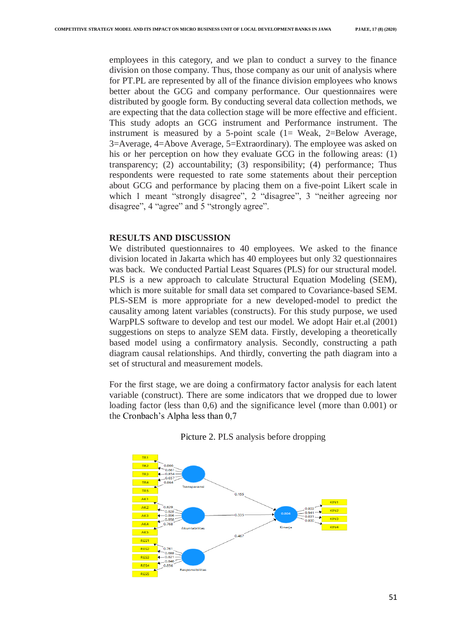employees in this category, and we plan to conduct a survey to the finance division on those company. Thus, those company as our unit of analysis where for PT.PL are represented by all of the finance division employees who knows better about the GCG and company performance. Our questionnaires were distributed by google form. By conducting several data collection methods, we are expecting that the data collection stage will be more effective and efficient. This study adopts an GCG instrument and Performance instrument. The instrument is measured by a 5-point scale (1= Weak, 2=Below Average, 3=Average, 4=Above Average, 5=Extraordinary). The employee was asked on his or her perception on how they evaluate GCG in the following areas: (1) transparency; (2) accountability; (3) responsibility; (4) performance; Thus respondents were requested to rate some statements about their perception about GCG and performance by placing them on a five-point Likert scale in which 1 meant "strongly disagree", 2 "disagree", 3 "neither agreeing nor disagree", 4 "agree" and 5 "strongly agree".

#### **RESULTS AND DISCUSSION**

We distributed questionnaires to 40 employees. We asked to the finance division located in Jakarta which has 40 employees but only 32 questionnaires was back. We conducted Partial Least Squares (PLS) for our structural model. PLS is a new approach to calculate Structural Equation Modeling (SEM), which is more suitable for small data set compared to Covariance-based SEM. PLS-SEM is more appropriate for a new developed-model to predict the causality among latent variables (constructs). For this study purpose, we used WarpPLS software to develop and test our model. We adopt Hair et.al (2001) suggestions on steps to analyze SEM data. Firstly, developing a theoretically based model using a confirmatory analysis. Secondly, constructing a path diagram causal relationships. And thirdly, converting the path diagram into a set of structural and measurement models.

For the first stage, we are doing a confirmatory factor analysis for each latent variable (construct). There are some indicators that we dropped due to lower loading factor (less than 0,6) and the significance level (more than 0.001) or the Cronbach's Alpha less than 0,7



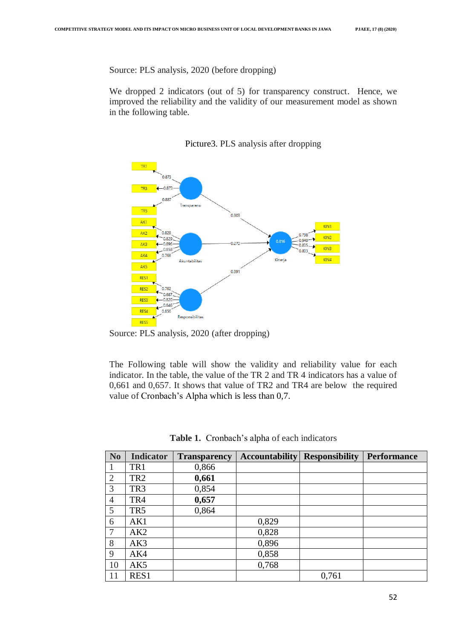Source: PLS analysis, 2020 (before dropping)

We dropped 2 indicators (out of 5) for transparency construct. Hence, we improved the reliability and the validity of our measurement model as shown in the following table.



Picture3. PLS analysis after dropping

Source: PLS analysis, 2020 (after dropping)

The Following table will show the validity and reliability value for each indicator. In the table, the value of the TR 2 and TR 4 indicators has a value of 0,661 and 0,657. It shows that value of TR2 and TR4 are below the required value of Cronbach's Alpha which is less than 0,7.

| <b>No</b>      | <b>Indicator</b> | <b>Transparency</b> | <b>Accountability</b> | <b>Responsibility</b> | <b>Performance</b> |
|----------------|------------------|---------------------|-----------------------|-----------------------|--------------------|
|                | TR1              | 0,866               |                       |                       |                    |
| $\overline{2}$ | TR <sub>2</sub>  | 0,661               |                       |                       |                    |
| 3              | TR <sub>3</sub>  | 0,854               |                       |                       |                    |
| 4              | TR4              | 0,657               |                       |                       |                    |
| 5              | TR <sub>5</sub>  | 0,864               |                       |                       |                    |
| 6              | AK1              |                     | 0,829                 |                       |                    |
| $\tau$         | AK2              |                     | 0,828                 |                       |                    |
| 8              | AK3              |                     | 0,896                 |                       |                    |
| 9              | AK4              |                     | 0,858                 |                       |                    |
| 10             | AK5              |                     | 0,768                 |                       |                    |
| 11             | RES1             |                     |                       | 0,761                 |                    |

**Table 1.** Cronbach's alpha of each indicators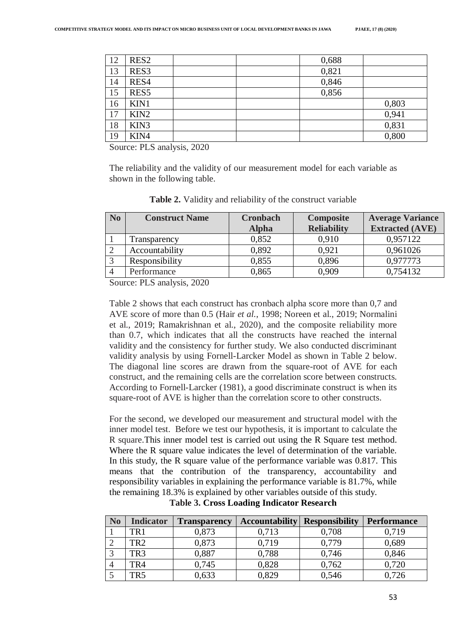| 12 | RES <sub>2</sub> | 0,688 |       |
|----|------------------|-------|-------|
| 13 | RES3             | 0,821 |       |
| 14 | RES4             | 0,846 |       |
| 15 | RES5             | 0,856 |       |
| 16 | KIN1             |       | 0,803 |
| 17 | KIN <sub>2</sub> |       | 0,941 |
| 18 | KIN3             |       | 0,831 |
| 19 | KIN4             |       | 0,800 |

Source: PLS analysis, 2020

The reliability and the validity of our measurement model for each variable as shown in the following table.

| <b>Extracted (AVE)</b> |
|------------------------|
|                        |
| 0,957122               |
| 0,961026               |
| 0,977773               |
| 0,754132               |
|                        |

**Table 2.** Validity and reliability of the construct variable

Source: PLS analysis, 2020

Table 2 shows that each construct has cronbach alpha score more than 0,7 and AVE score of more than 0.5 (Hair *et al.*, 1998; Noreen et al., 2019; Normalini et al., 2019; Ramakrishnan et al., 2020), and the composite reliability more than 0.7, which indicates that all the constructs have reached the internal validity and the consistency for further study. We also conducted discriminant validity analysis by using Fornell-Larcker Model as shown in Table 2 below. The diagonal line scores are drawn from the square-root of AVE for each construct, and the remaining cells are the correlation score between constructs. According to Fornell-Larcker (1981), a good discriminate construct is when its square-root of AVE is higher than the correlation score to other constructs.

For the second, we developed our measurement and structural model with the inner model test. Before we test our hypothesis, it is important to calculate the R square.This inner model test is carried out using the R Square test method. Where the R square value indicates the level of determination of the variable. In this study, the R square value of the performance variable was 0.817. This means that the contribution of the transparency, accountability and responsibility variables in explaining the performance variable is 81.7%, while the remaining 18.3% is explained by other variables outside of this study.

| N <sub>0</sub> | <b>Indicator</b> | <b>Transparency</b> | <b>Accountability</b> | <b>Responsibility</b> | <b>Performance</b> |
|----------------|------------------|---------------------|-----------------------|-----------------------|--------------------|
|                | TR 1             | 0,873               | 0.713                 | 0,708                 | 0,719              |
|                | TR <sub>2</sub>  | 0.873               | 0.719                 | 0.779                 | 0,689              |
|                | TR3              | 0,887               | 0,788                 | 0,746                 | 0,846              |
|                | TR4              | 0.745               | 0,828                 | 0,762                 | 0,720              |
|                | TR5              | ),633               | 0,829                 | 0,546                 | 0.726              |

**Table 3. Cross Loading Indicator Research**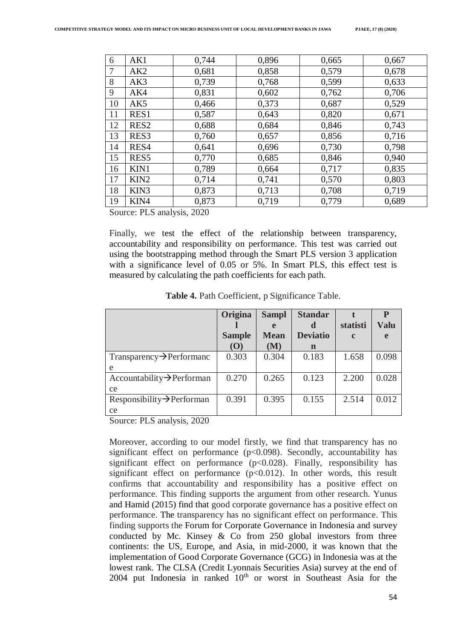| 6  | AK1              | 0,744 | 0,896 | 0,665 | 0,667 |
|----|------------------|-------|-------|-------|-------|
| 7  | AK2              | 0,681 | 0,858 | 0,579 | 0,678 |
| 8  | AK3              | 0,739 | 0,768 | 0,599 | 0,633 |
| 9  | AK4              | 0,831 | 0,602 | 0,762 | 0,706 |
| 10 | AK <sub>5</sub>  | 0,466 | 0,373 | 0,687 | 0,529 |
| 11 | RES1             | 0,587 | 0,643 | 0,820 | 0,671 |
| 12 | RES <sub>2</sub> | 0,688 | 0,684 | 0,846 | 0,743 |
| 13 | RES <sub>3</sub> | 0,760 | 0,657 | 0,856 | 0,716 |
| 14 | RES4             | 0,641 | 0,696 | 0,730 | 0,798 |
| 15 | RES5             | 0,770 | 0,685 | 0,846 | 0,940 |
| 16 | KIN1             | 0,789 | 0,664 | 0,717 | 0,835 |
| 17 | KIN <sub>2</sub> | 0,714 | 0,741 | 0,570 | 0,803 |
| 18 | KIN3             | 0,873 | 0,713 | 0,708 | 0,719 |
| 19 | KIN4             | 0.873 | 0,719 | 0,779 | 0,689 |

Source: PLS analysis, 2020

Finally, we test the effect of the relationship between transparency, accountability and responsibility on performance. This test was carried out using the bootstrapping method through the Smart PLS version 3 application with a significance level of 0.05 or 5%. In Smart PLS, this effect test is measured by calculating the path coefficients for each path.

| Origina       | <b>Sampl</b> | <b>Standar</b>  |             | P           |
|---------------|--------------|-----------------|-------------|-------------|
|               |              | d               | statisti    | <b>Valu</b> |
| <b>Sample</b> | <b>Mean</b>  | <b>Deviatio</b> | $\mathbf c$ | e           |
| (O)           | (M)          | n               |             |             |
| 0.303         | 0.304        | 0.183           | 1.658       | 0.098       |
|               |              |                 |             |             |
| 0.270         | 0.265        | 0.123           | 2.200       | 0.028       |
|               |              |                 |             |             |
| 0.391         | 0.395        | 0.155           | 2.514       | 0.012       |
|               |              |                 |             |             |
|               |              |                 |             |             |

**Table 4.** Path Coefficient, p Significance Table.

Source: PLS analysis, 2020

Moreover, according to our model firstly, we find that transparency has no significant effect on performance  $(p<0.098)$ . Secondly, accountability has significant effect on performance  $(p<0.028)$ . Finally, responsibility has significant effect on performance  $(p<0.012)$ . In other words, this result confirms that accountability and responsibility has a positive effect on performance. This finding supports the argument from other research. Yunus and Hamid (2015) find that good corporate governance has a positive effect on performance. The transparency has no significant effect on performance. This finding supports the Forum for Corporate Governance in Indonesia and survey conducted by Mc. Kinsey & Co from 250 global investors from three continents: the US, Europe, and Asia, in mid-2000, it was known that the implementation of Good Corporate Governance (GCG) in Indonesia was at the lowest rank. The CLSA (Credit Lyonnais Securities Asia) survey at the end of  $2004$  put Indonesia in ranked  $10<sup>th</sup>$  or worst in Southeast Asia for the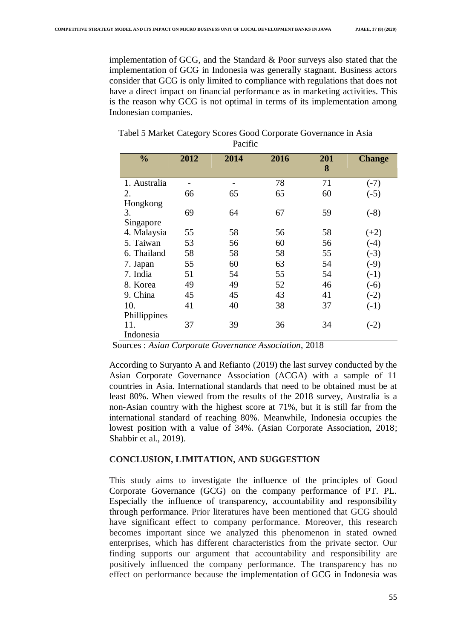implementation of GCG, and the Standard & Poor surveys also stated that the implementation of GCG in Indonesia was generally stagnant. Business actors consider that GCG is only limited to compliance with regulations that does not have a direct impact on financial performance as in marketing activities. This is the reason why GCG is not optimal in terms of its implementation among Indonesian companies.

| $\frac{0}{0}$    | 2012 | 2014 | 2016 | 201<br>8 | <b>Change</b> |
|------------------|------|------|------|----------|---------------|
| 1. Australia     |      |      | 78   | 71       | $(-7)$        |
| 2.               | 66   | 65   | 65   | 60       | $(-5)$        |
| Hongkong         |      |      |      |          |               |
| 3.               | 69   | 64   | 67   | 59       | $(-8)$        |
| Singapore        |      |      |      |          |               |
| 4. Malaysia      | 55   | 58   | 56   | 58       | $(+2)$        |
| 5. Taiwan        | 53   | 56   | 60   | 56       | $(-4)$        |
| 6. Thailand      | 58   | 58   | 58   | 55       | $(-3)$        |
| 7. Japan         | 55   | 60   | 63   | 54       | $(-9)$        |
| 7. India         | 51   | 54   | 55   | 54       | $(-1)$        |
| 8. Korea         | 49   | 49   | 52   | 46       | $(-6)$        |
| 9. China         | 45   | 45   | 43   | 41       | $(-2)$        |
| 10.              | 41   | 40   | 38   | 37       | $(-1)$        |
| Phillippines     |      |      |      |          |               |
| 11.<br>Indonesia | 37   | 39   | 36   | 34       | $(-2)$        |

Tabel 5 Market Category Scores Good Corporate Governance in Asia Pacific

Sources : *Asian Corporate Governance Association*, 2018

According to Suryanto A and Refianto (2019) the last survey conducted by the Asian Corporate Governance Association (ACGA) with a sample of 11 countries in Asia. International standards that need to be obtained must be at least 80%. When viewed from the results of the 2018 survey, Australia is a non-Asian country with the highest score at 71%, but it is still far from the international standard of reaching 80%. Meanwhile, Indonesia occupies the lowest position with a value of 34%. (Asian Corporate Association, 2018; Shabbir et al., 2019).

#### **CONCLUSION, LIMITATION, AND SUGGESTION**

This study aims to investigate the influence of the principles of Good Corporate Governance (GCG) on the company performance of PT. PL. Especially the influence of transparency, accountability and responsibility through performance. Prior literatures have been mentioned that GCG should have significant effect to company performance. Moreover, this research becomes important since we analyzed this phenomenon in stated owned enterprises, which has different characteristics from the private sector. Our finding supports our argument that accountability and responsibility are positively influenced the company performance. The transparency has no effect on performance because the implementation of GCG in Indonesia was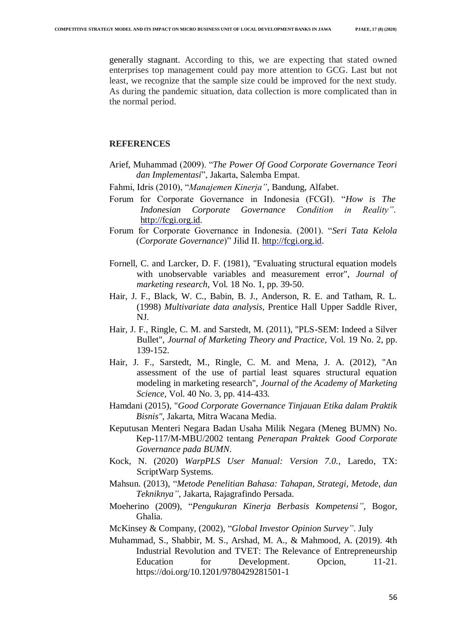generally stagnant. According to this, we are expecting that stated owned enterprises top management could pay more attention to GCG. Last but not least, we recognize that the sample size could be improved for the next study. As during the pandemic situation, data collection is more complicated than in the normal period.

#### **REFERENCES**

- Arief, Muhammad (2009). "*The Power Of Good Corporate Governance Teori dan Implementasi*", Jakarta, Salemba Empat.
- Fahmi, Idris (2010), "*Manajemen Kinerja"*, Bandung, Alfabet.
- Forum for Corporate Governance in Indonesia (FCGI). "*How is The Indonesian Corporate Governance Condition in Reality"*. [http://fcgi.org.id.](http://fcgi.org.id/)
- Forum for Corporate Governance in Indonesia. (2001). "*Seri Tata Kelola* (*Corporate Governance*)" Jilid II. [http://fcgi.org.id.](http://fcgi.org.id/)
- Fornell, C. and Larcker, D. F. (1981), "Evaluating structural equation models with unobservable variables and measurement error", *Journal of marketing research,* Vol. 18 No. 1, pp. 39-50.
- Hair, J. F., Black, W. C., Babin, B. J., Anderson, R. E. and Tatham, R. L. (1998) *Multivariate data analysis,* Prentice Hall Upper Saddle River, NJ.
- Hair, J. F., Ringle, C. M. and Sarstedt, M. (2011), "PLS-SEM: Indeed a Silver Bullet", *Journal of Marketing Theory and Practice,* Vol. 19 No. 2, pp. 139-152.
- Hair, J. F., Sarstedt, M., Ringle, C. M. and Mena, J. A. (2012), "An assessment of the use of partial least squares structural equation modeling in marketing research", *Journal of the Academy of Marketing Science,* Vol. 40 No. 3, pp. 414-433.
- Hamdani (2015), "*Good Corporate Governance Tinjauan Etika dalam Praktik Bisnis",* Jakarta, Mitra Wacana Media.
- Keputusan Menteri Negara Badan Usaha Milik Negara (Meneg BUMN) No. Kep-117/M-MBU/2002 tentang *Penerapan Praktek Good Corporate Governance pada BUMN*.
- Kock, N. (2020) *WarpPLS User Manual: Version 7.0.,* Laredo, TX: ScriptWarp Systems.
- Mahsun. (2013), "*Metode Penelitian Bahasa: Tahapan, Strategi, Metode, dan Tekniknya"*, Jakarta, Rajagrafindo Persada.
- Moeherino (2009), "*Pengukuran Kinerja Berbasis Kompetensi",* Bogor, Ghalia.
- McKinsey & Company, (2002), "*Global Investor Opinion Survey"*. July
- Muhammad, S., Shabbir, M. S., Arshad, M. A., & Mahmood, A. (2019). 4th Industrial Revolution and TVET: The Relevance of Entrepreneurship Education for Development. Opcion, 11-21. https://doi.org/10.1201/9780429281501-1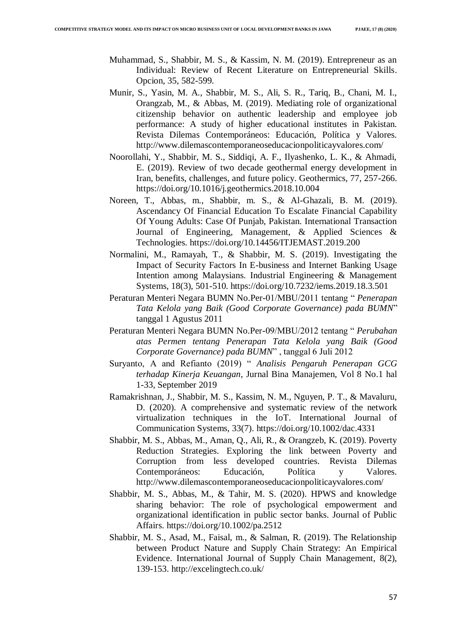- Muhammad, S., Shabbir, M. S., & Kassim, N. M. (2019). Entrepreneur as an Individual: Review of Recent Literature on Entrepreneurial Skills. Opcion, 35, 582-599.
- Munir, S., Yasin, M. A., Shabbir, M. S., Ali, S. R., Tariq, B., Chani, M. I., Orangzab, M., & Abbas, M. (2019). Mediating role of organizational citizenship behavior on authentic leadership and employee job performance: A study of higher educational institutes in Pakistan. Revista Dilemas Contemporáneos: Educación, Política y Valores. http://www.dilemascontemporaneoseducacionpoliticayvalores.com/
- Noorollahi, Y., Shabbir, M. S., Siddiqi, A. F., Ilyashenko, L. K., & Ahmadi, E. (2019). Review of two decade geothermal energy development in Iran, benefits, challenges, and future policy. Geothermics, 77, 257-266. https://doi.org/10.1016/j.geothermics.2018.10.004
- Noreen, T., Abbas, m., Shabbir, m. S., & Al-Ghazali, B. M. (2019). Ascendancy Of Financial Education To Escalate Financial Capability Of Young Adults: Case Of Punjab, Pakistan. International Transaction Journal of Engineering, Management, & Applied Sciences & Technologies. https://doi.org/10.14456/ITJEMAST.2019.200
- Normalini, M., Ramayah, T., & Shabbir, M. S. (2019). Investigating the Impact of Security Factors In E-business and Internet Banking Usage Intention among Malaysians. Industrial Engineering & Management Systems, 18(3), 501-510. https://doi.org/10.7232/iems.2019.18.3.501
- Peraturan Menteri Negara BUMN No.Per-01/MBU/2011 tentang " *Penerapan Tata Kelola yang Baik (Good Corporate Governance) pada BUMN*" tanggal 1 Agustus 2011
- Peraturan Menteri Negara BUMN No.Per-09/MBU/2012 tentang " *Perubahan atas Permen tentang Penerapan Tata Kelola yang Baik (Good Corporate Governance) pada BUMN*" , tanggal 6 Juli 2012
- Suryanto, A and Refianto (2019) " *Analisis Pengaruh Penerapan GCG terhadap Kinerja Keuangan*, Jurnal Bina Manajemen, Vol 8 No.1 hal 1-33, September 2019
- Ramakrishnan, J., Shabbir, M. S., Kassim, N. M., Nguyen, P. T., & Mavaluru, D. (2020). A comprehensive and systematic review of the network virtualization techniques in the IoT. International Journal of Communication Systems, 33(7). https://doi.org/10.1002/dac.4331
- Shabbir, M. S., Abbas, M., Aman, Q., Ali, R., & Orangzeb, K. (2019). Poverty Reduction Strategies. Exploring the link between Poverty and Corruption from less developed countries. Revista Dilemas Contemporáneos: Educación, Política y Valores. http://www.dilemascontemporaneoseducacionpoliticayvalores.com/
- Shabbir, M. S., Abbas, M., & Tahir, M. S. (2020). HPWS and knowledge sharing behavior: The role of psychological empowerment and organizational identification in public sector banks. Journal of Public Affairs. https://doi.org/10.1002/pa.2512
- Shabbir, M. S., Asad, M., Faisal, m., & Salman, R. (2019). The Relationship between Product Nature and Supply Chain Strategy: An Empirical Evidence. International Journal of Supply Chain Management, 8(2), 139-153. http://excelingtech.co.uk/